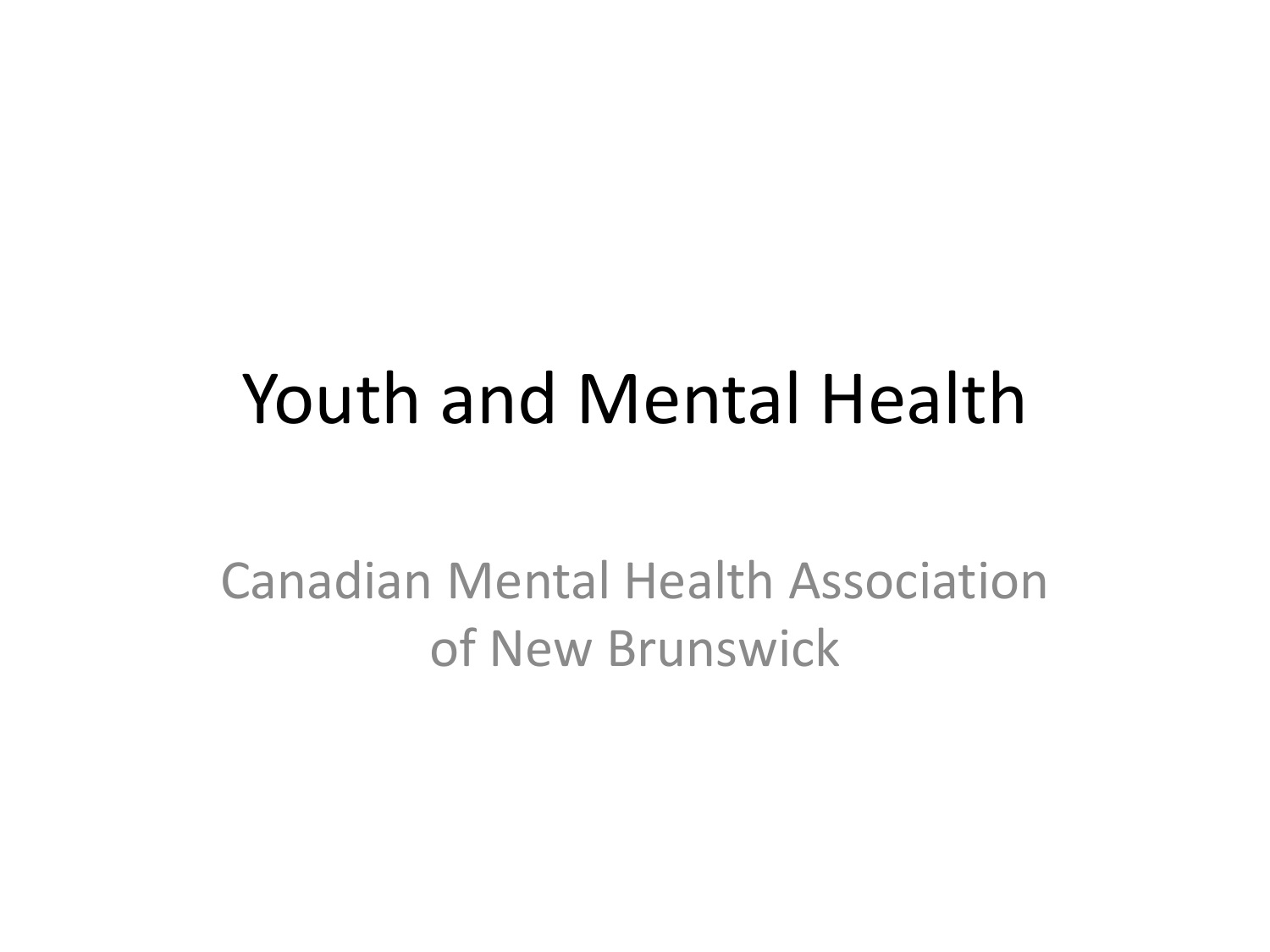#### Youth and Mental Health

Canadian Mental Health Association of New Brunswick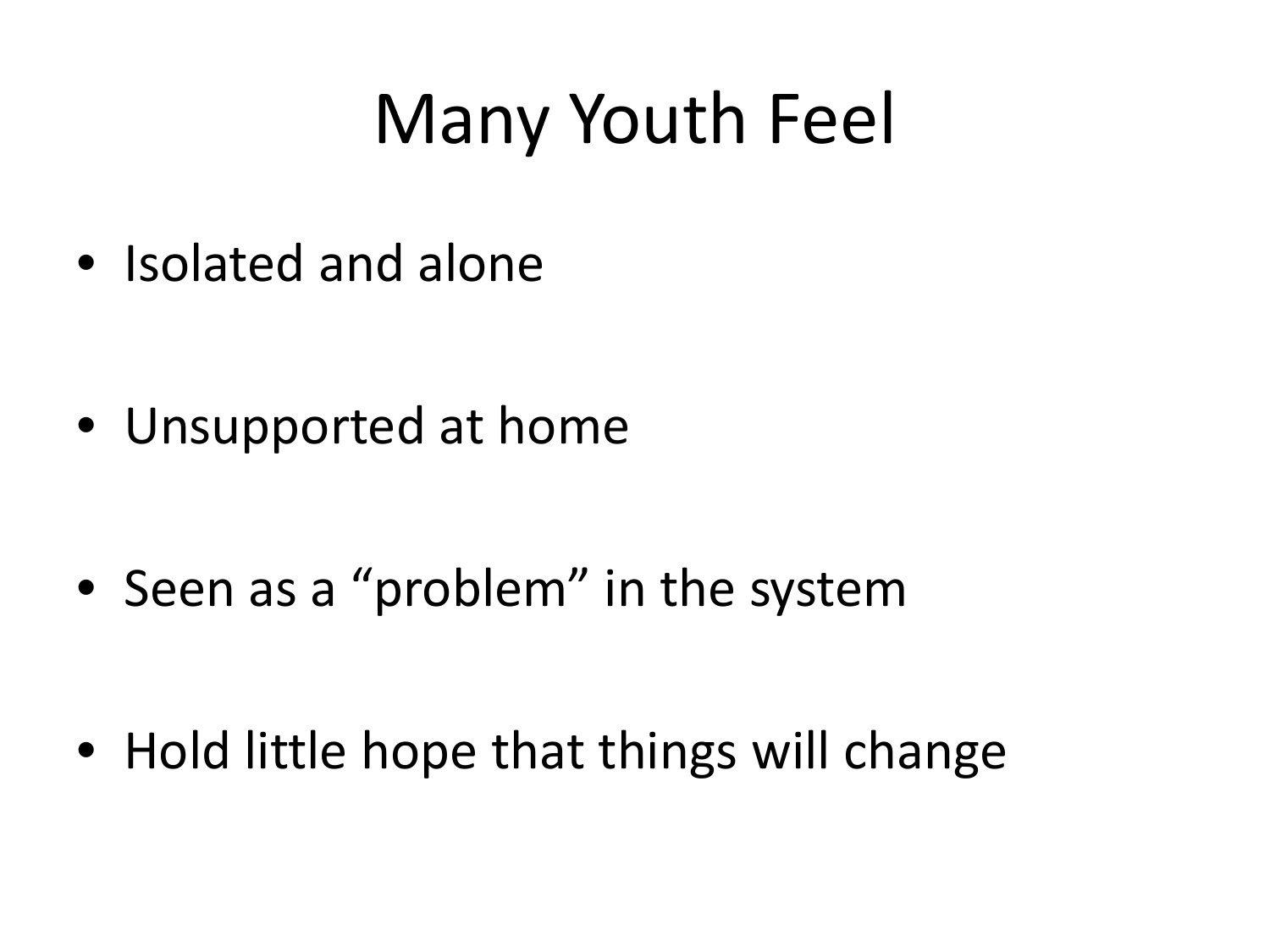### Many Youth Feel

• Isolated and alone

• Unsupported at home

• Seen as a "problem" in the system

• Hold little hope that things will change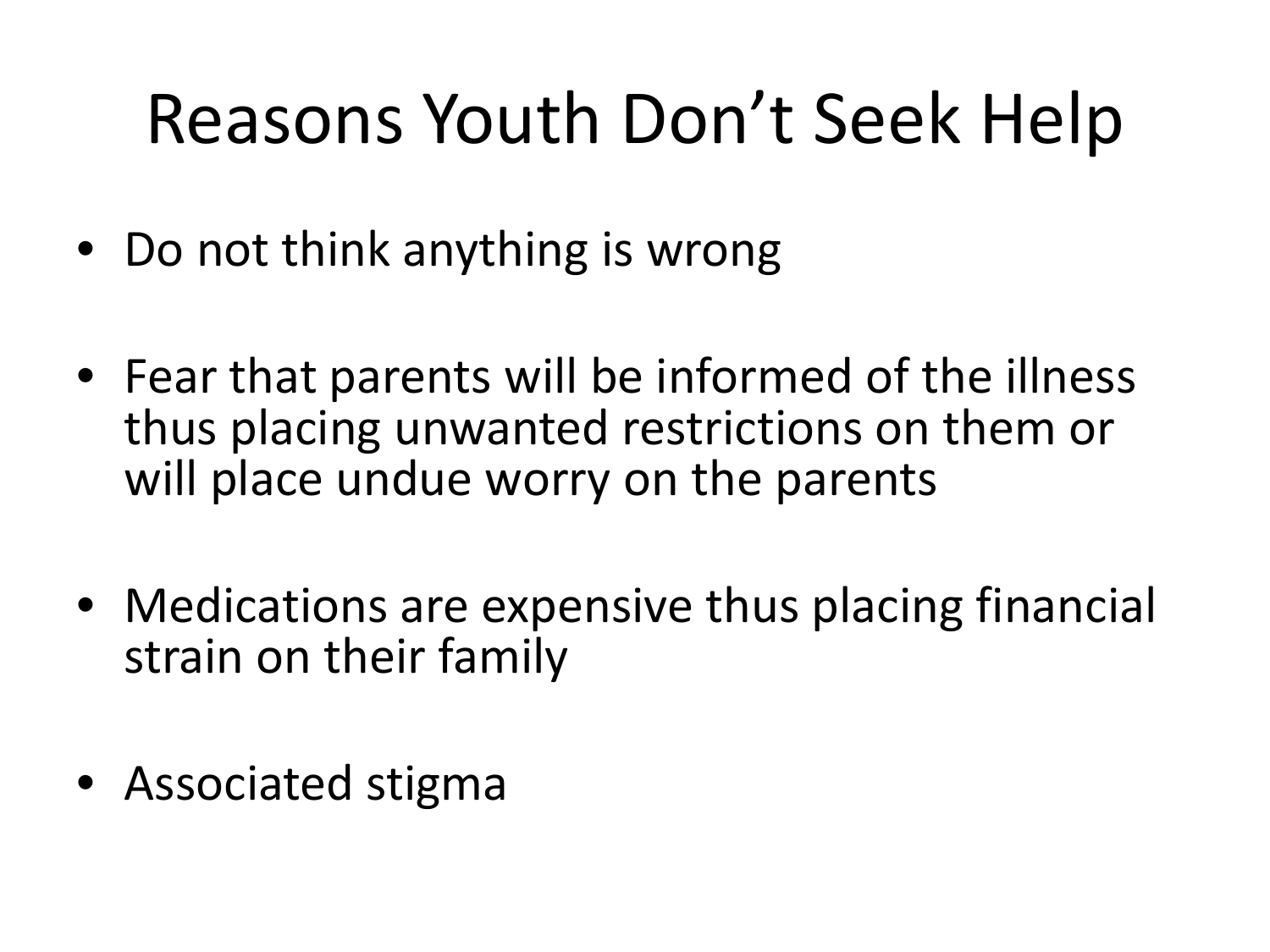## Reasons Youth Don't Seek Help

- Do not think anything is wrong
- Fear that parents will be informed of the illness thus placing unwanted restrictions on them or will place undue worry on the parents
- Medications are expensive thus placing financial strain on their family
- Associated stigma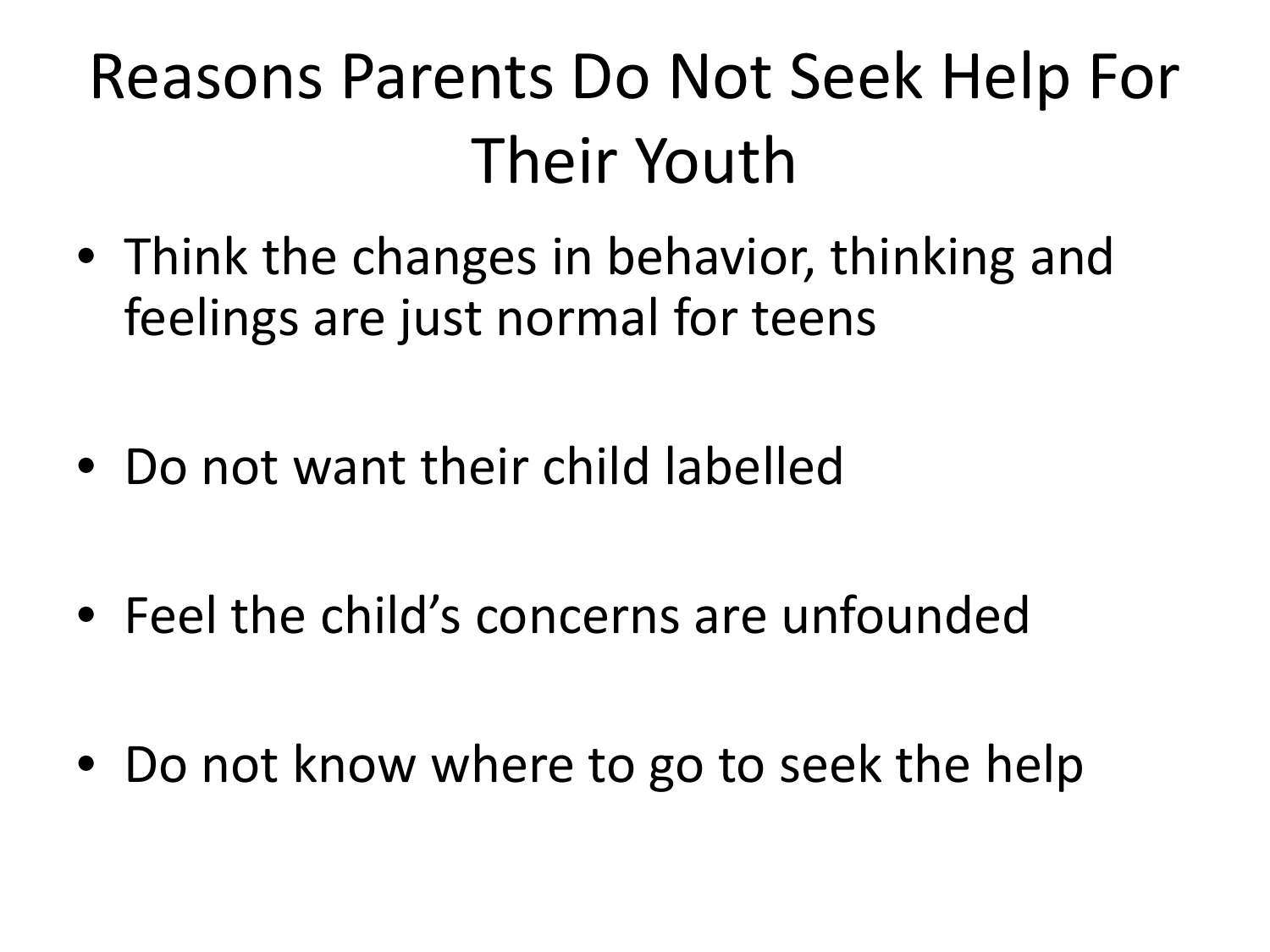### Reasons Parents Do Not Seek Help For Their Youth

- Think the changes in behavior, thinking and feelings are just normal for teens
- Do not want their child labelled
- Feel the child's concerns are unfounded
- Do not know where to go to seek the help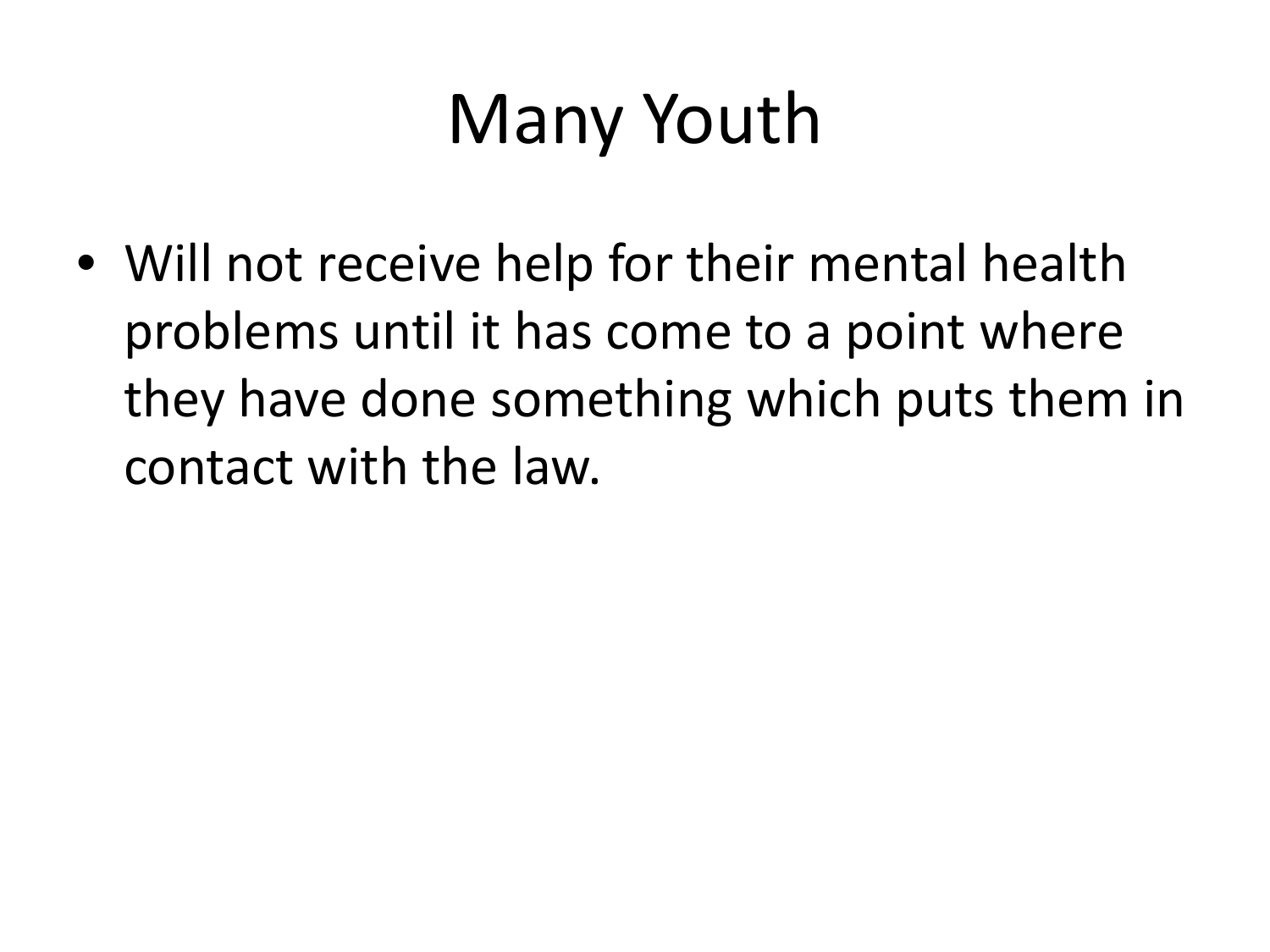# Many Youth

• Will not receive help for their mental health problems until it has come to a point where they have done something which puts them in contact with the law.